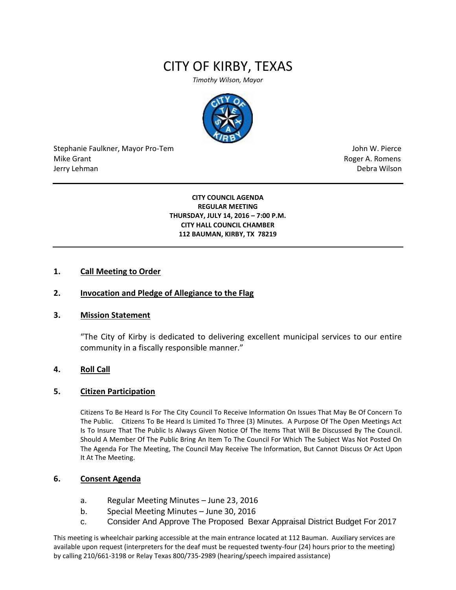# CITY OF KIRBY, TEXAS

*Timothy Wilson, Mayor*



Stephanie Faulkner, Mayor Pro-Tem John W. Pierce Mike Grant **Mike Grant** Roger A. Romens **Contract A. Romens Roger A. Romens** Jerry Lehman Debra Wilson (2008) and the state of the state of the state of the state of the state of the state of the state of the state of the state of the state of the state of the state of the state of the state of the

**CITY COUNCIL AGENDA REGULAR MEETING THURSDAY, JULY 14, 2016 – 7:00 P.M. CITY HALL COUNCIL CHAMBER 112 BAUMAN, KIRBY, TX 78219**

# **1. Call Meeting to Order**

# **2. Invocation and Pledge of Allegiance to the Flag**

#### **3. Mission Statement**

"The City of Kirby is dedicated to delivering excellent municipal services to our entire community in a fiscally responsible manner."

#### **4. Roll Call**

#### **5. Citizen Participation**

Citizens To Be Heard Is For The City Council To Receive Information On Issues That May Be Of Concern To The Public. Citizens To Be Heard Is Limited To Three (3) Minutes. A Purpose Of The Open Meetings Act Is To Insure That The Public Is Always Given Notice Of The Items That Will Be Discussed By The Council. Should A Member Of The Public Bring An Item To The Council For Which The Subject Was Not Posted On The Agenda For The Meeting, The Council May Receive The Information, But Cannot Discuss Or Act Upon It At The Meeting.

# **6. Consent Agenda**

- a. Regular Meeting Minutes June 23, 2016
- b. Special Meeting Minutes June 30, 2016
- c. Consider And Approve The Proposed Bexar Appraisal District Budget For 2017

This meeting is wheelchair parking accessible at the main entrance located at 112 Bauman. Auxiliary services are available upon request (interpreters for the deaf must be requested twenty-four (24) hours prior to the meeting) by calling 210/661-3198 or Relay Texas 800/735-2989 (hearing/speech impaired assistance)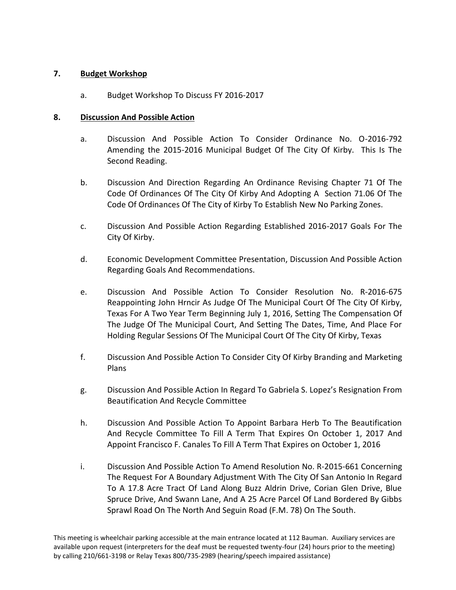# **7. Budget Workshop**

a. Budget Workshop To Discuss FY 2016-2017

# **8. Discussion And Possible Action**

- a. Discussion And Possible Action To Consider Ordinance No. O-2016-792 Amending the 2015-2016 Municipal Budget Of The City Of Kirby. This Is The Second Reading.
- b. Discussion And Direction Regarding An Ordinance Revising Chapter 71 Of The Code Of Ordinances Of The City Of Kirby And Adopting A Section 71.06 Of The Code Of Ordinances Of The City of Kirby To Establish New No Parking Zones.
- c. Discussion And Possible Action Regarding Established 2016-2017 Goals For The City Of Kirby.
- d. Economic Development Committee Presentation, Discussion And Possible Action Regarding Goals And Recommendations.
- e. Discussion And Possible Action To Consider Resolution No. R-2016-675 Reappointing John Hrncir As Judge Of The Municipal Court Of The City Of Kirby, Texas For A Two Year Term Beginning July 1, 2016, Setting The Compensation Of The Judge Of The Municipal Court, And Setting The Dates, Time, And Place For Holding Regular Sessions Of The Municipal Court Of The City Of Kirby, Texas
- f. Discussion And Possible Action To Consider City Of Kirby Branding and Marketing Plans
- g. Discussion And Possible Action In Regard To Gabriela S. Lopez's Resignation From Beautification And Recycle Committee
- h. Discussion And Possible Action To Appoint Barbara Herb To The Beautification And Recycle Committee To Fill A Term That Expires On October 1, 2017 And Appoint Francisco F. Canales To Fill A Term That Expires on October 1, 2016
- i. Discussion And Possible Action To Amend Resolution No. R-2015-661 Concerning The Request For A Boundary Adjustment With The City Of San Antonio In Regard To A 17.8 Acre Tract Of Land Along Buzz Aldrin Drive, Corian Glen Drive, Blue Spruce Drive, And Swann Lane, And A 25 Acre Parcel Of Land Bordered By Gibbs Sprawl Road On The North And Seguin Road (F.M. 78) On The South.